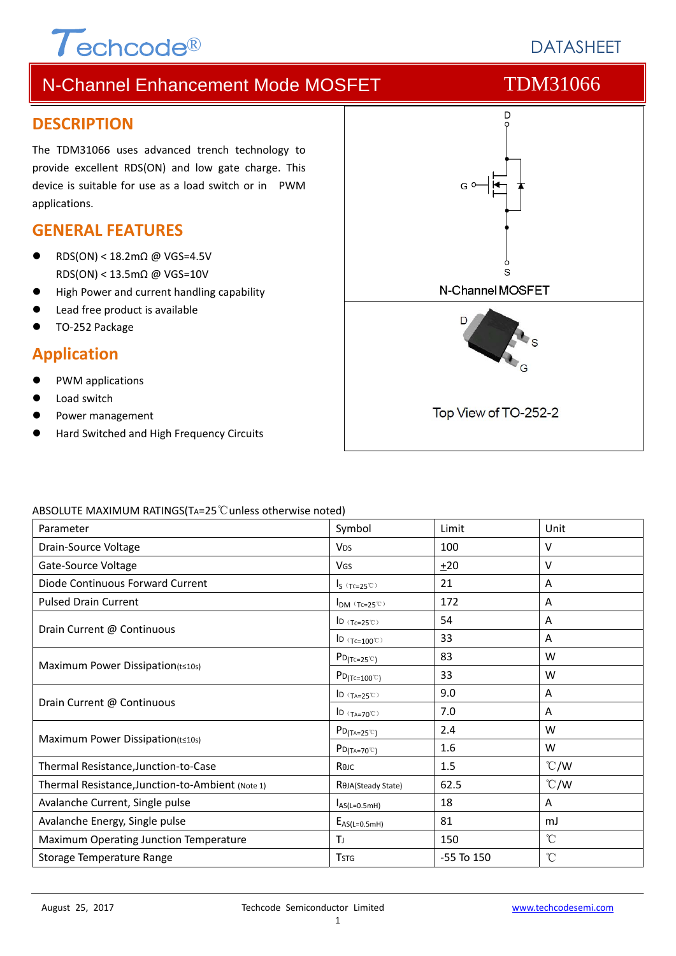### **DESCRIPTION**

The TDM31066 uses advanced trench technology to provide excellent RDS(ON) and low gate charge. This device is suitable for use as a load switch or in PWM applications.

### **GENERAL FEATURES**

 RDS(ON) < 18.2mΩ @ VGS=4.5V RDS(ON) < 13.5mΩ @ VGS=10V

 $\tau$ echcode®

- High Power and current handling capability
- Lead free product is available
- TO‐252 Package

### **Application**

- PWM applications
- Load switch
- Power management
- Hard Switched and High Frequency Circuits



#### ABSOLUTE MAXIMUM RATINGS(TA=25℃unless otherwise noted)

| Parameter                                        | Symbol                                                        | Limit          | Unit            |
|--------------------------------------------------|---------------------------------------------------------------|----------------|-----------------|
| Drain-Source Voltage                             | <b>V<sub>DS</sub></b>                                         | 100            | V               |
| Gate-Source Voltage                              | <b>V<sub>GS</sub></b>                                         | $+20$          | V               |
| Diode Continuous Forward Current                 | $I_S$ (Tc=25°C)                                               | 21             | A               |
| <b>Pulsed Drain Current</b>                      | $I_{DM}$ (Tc=25°C)                                            | 172            | A               |
|                                                  | ID $(Tc=25^\circ\text{C})$                                    | 54             | Α               |
| Drain Current @ Continuous                       | ID $(Tc=100^{\circ}C)$                                        | 33             | Α               |
|                                                  | $P_{D(Tc=25\degree\degree)}$                                  | 83             | W               |
| Maximum Power Dissipation(t≤10s)                 | $P_{D(Tc=100^{\circ}C)}$                                      | 33             | W               |
|                                                  | ID $(T_{A=25}^\circ\text{C})$                                 | 9.0            | Α               |
| Drain Current @ Continuous                       | $\mathsf{ID}(\mathsf{T}_{\mathsf{A}=\mathsf{70}^\mathbb{C}})$ | 7.0            | A               |
| Maximum Power Dissipation(t≤10s)                 | $P_{D(TA=25^{\circ}C)}$                                       | 2.4            | W               |
|                                                  | $P_{D(T_A=70^{\circ}C)}$                                      | 1.6            | W               |
| Thermal Resistance, Junction-to-Case             | Көлс                                                          | 1.5            | $\degree$ C/W   |
| Thermal Resistance, Junction-to-Ambient (Note 1) | ROJA(Steady State)                                            | 62.5           | $\degree$ C/W   |
| Avalanche Current, Single pulse                  | $I_{AS(L=0.5mH)}$                                             | 18             | A               |
| Avalanche Energy, Single pulse                   | $E_{AS(L=0.5mH)}$                                             | 81             | mJ              |
| Maximum Operating Junction Temperature           | Tı.                                                           | 150            | $^{\circ}$ C    |
| Storage Temperature Range                        | <b>T</b> <sub>STG</sub>                                       | $-55$ To $150$ | $\rm ^{\circ}C$ |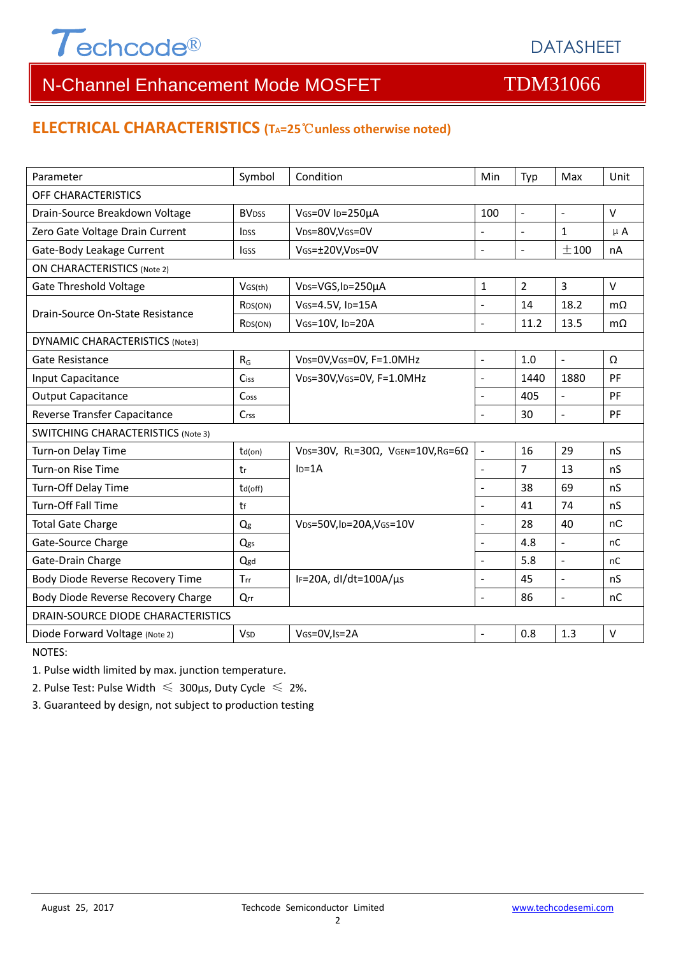

### **ELECTRICAL CHARACTERISTICS (TA=25**℃**unless otherwise noted)**

| Parameter                                 | Symbol                  | Condition                                         | Min                      | Typ                      | Max                      | Unit         |  |  |  |
|-------------------------------------------|-------------------------|---------------------------------------------------|--------------------------|--------------------------|--------------------------|--------------|--|--|--|
| OFF CHARACTERISTICS                       |                         |                                                   |                          |                          |                          |              |  |  |  |
| Drain-Source Breakdown Voltage            | <b>BV<sub>DSS</sub></b> | VGS=0V ID=250µA                                   | 100                      | $\blacksquare$           | $\overline{\phantom{a}}$ | $\vee$       |  |  |  |
| Zero Gate Voltage Drain Current           | <b>IDSS</b>             | VDS=80V,VGS=0V                                    | L.                       | $\overline{\phantom{a}}$ | $\mathbf{1}$             | $\mu$ A      |  |  |  |
| Gate-Body Leakage Current                 | <b>IGSS</b>             | VGS=±20V,VDS=0V                                   | $\bar{\phantom{a}}$      | $\overline{\phantom{a}}$ | ±100                     | nA           |  |  |  |
| <b>ON CHARACTERISTICS (Note 2)</b>        |                         |                                                   |                          |                          |                          |              |  |  |  |
| <b>Gate Threshold Voltage</b>             | VGS(th)                 | VDS=VGS, ID=250µA                                 | $\mathbf{1}$             | $\overline{2}$           | $\overline{3}$           | $\vee$       |  |  |  |
| Drain-Source On-State Resistance          | R <sub>DS</sub> (ON)    | VGS=4.5V, ID=15A                                  | $\overline{a}$           | 14                       | 18.2                     | $m\Omega$    |  |  |  |
|                                           | R <sub>DS</sub> (ON)    | VGS=10V, ID=20A                                   | $\overline{a}$           | 11.2                     | 13.5                     | $m\Omega$    |  |  |  |
| <b>DYNAMIC CHARACTERISTICS (Note3)</b>    |                         |                                                   |                          |                          |                          |              |  |  |  |
| Gate Resistance                           | $R_G$                   | VDS=0V, VGS=0V, F=1.0MHz                          | $\mathbf{r}$             | 1.0                      | $\mathbf{r}$             | Ω            |  |  |  |
| Input Capacitance                         | Ciss                    | VDS=30V, VGS=0V, F=1.0MHz                         | $\overline{\phantom{a}}$ | 1440                     | 1880                     | PF           |  |  |  |
| <b>Output Capacitance</b>                 | Coss                    |                                                   | L.                       | 405                      | $\overline{a}$           | PF           |  |  |  |
| Reverse Transfer Capacitance              | Crss                    |                                                   | $\overline{a}$           | 30                       | L.                       | PF           |  |  |  |
| <b>SWITCHING CHARACTERISTICS (Note 3)</b> |                         |                                                   |                          |                          |                          |              |  |  |  |
| Turn-on Delay Time                        | td(on)                  | VDS=30V, RL=30 $\Omega$ , VGEN=10V, RG=6 $\Omega$ | $\frac{1}{2}$            | 16                       | 29                       | nS           |  |  |  |
| Turn-on Rise Time                         | tr                      | $ID=1A$                                           | $\blacksquare$           | 7                        | 13                       | nS           |  |  |  |
| Turn-Off Delay Time                       | td(off)                 |                                                   | $\overline{a}$           | 38                       | 69                       | nS           |  |  |  |
| <b>Turn-Off Fall Time</b>                 | tf                      |                                                   |                          | 41                       | 74                       | nS           |  |  |  |
| <b>Total Gate Charge</b>                  | Qg                      | VDS=50V,ID=20A,VGS=10V                            | $\blacksquare$           | 28                       | 40                       | nC           |  |  |  |
| Gate-Source Charge                        | Qgs                     |                                                   | $\overline{a}$           | 4.8                      | $\overline{\phantom{a}}$ | nC           |  |  |  |
| Gate-Drain Charge                         | Qgd                     |                                                   | $\overline{a}$           | 5.8                      | $\overline{a}$           | nC           |  |  |  |
| Body Diode Reverse Recovery Time          | <b>Trr</b>              | IF=20A, $dl/dt=100A/\mu s$                        | $\blacksquare$           | 45                       | $\Box$                   | nS           |  |  |  |
| Body Diode Reverse Recovery Charge        | Qrr                     |                                                   | $\overline{\phantom{a}}$ | 86                       | $\blacksquare$           | nC           |  |  |  |
| DRAIN-SOURCE DIODE CHARACTERISTICS        |                         |                                                   |                          |                          |                          |              |  |  |  |
| Diode Forward Voltage (Note 2)            | <b>V<sub>SD</sub></b>   | VGS=0V,Is=2A                                      |                          | 0.8                      | 1.3                      | $\mathsf{V}$ |  |  |  |

NOTES:

1. Pulse width limited by max. junction temperature.

2. Pulse Test: Pulse Width  $\leq 300$ μs, Duty Cycle  $\leq 2\%$ .

3. Guaranteed by design, not subject to production testing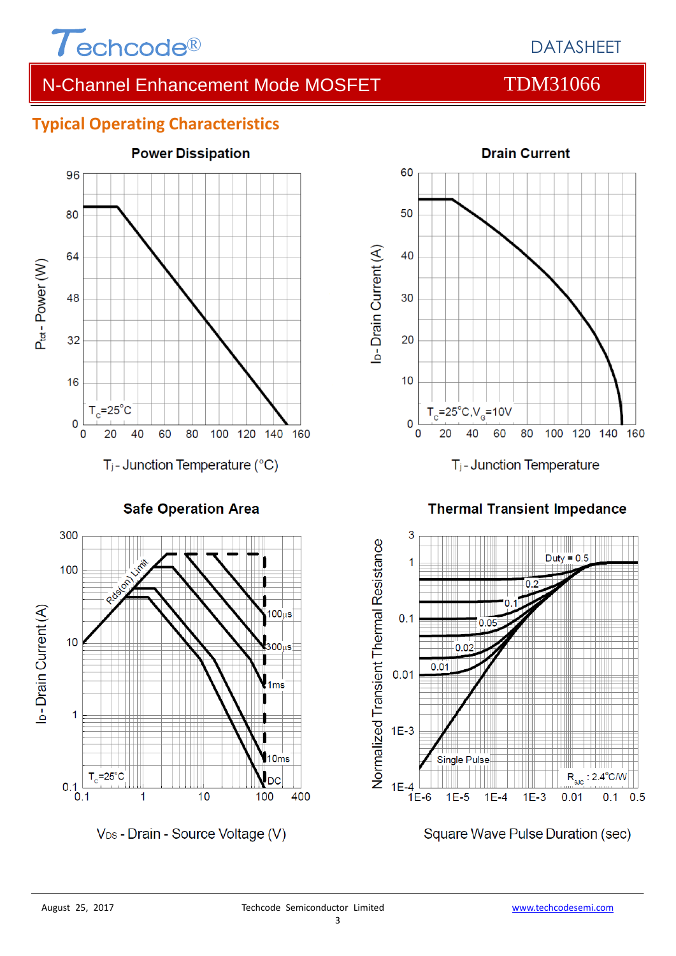

# **Typical Operating Characteristics**



**Safe Operation Area** 



V<sub>DS</sub> - Drain - Source Voltage (V)



T<sub>j</sub>-Junction Temperature

**Thermal Transient Impedance** 



Square Wave Pulse Duration (sec)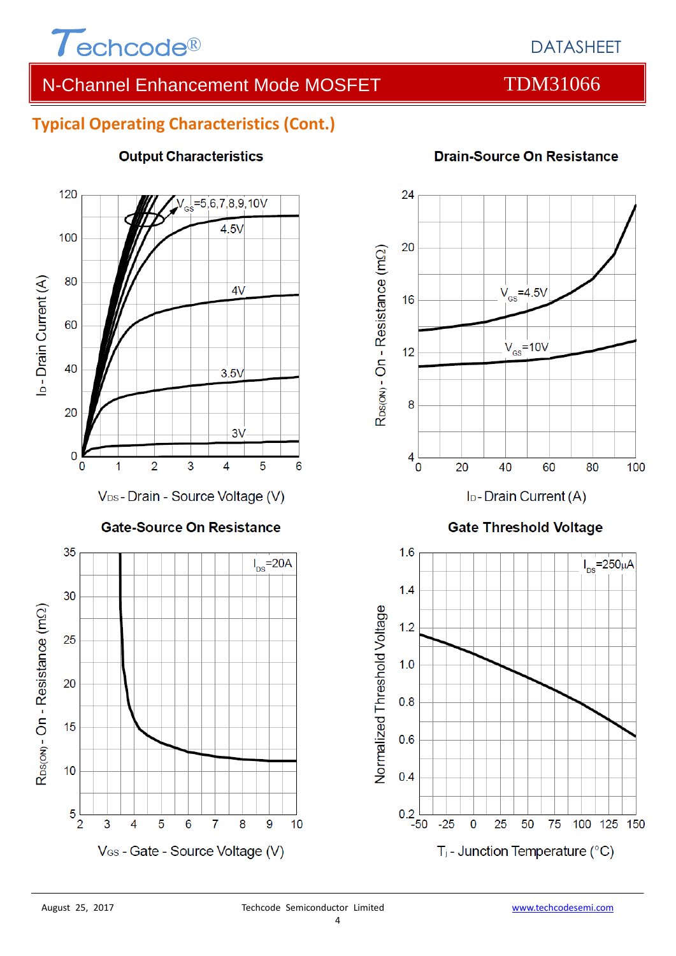

# DATASHEET

# N-Channel Enhancement Mode MOSFET TDM31066

**Drain-Source On Resistance** 

# **Typical Operating Characteristics (Cont.)**



#### **Output Characteristics**



I<sub>D</sub>-Drain Current (A)

### **Gate Threshold Voltage**

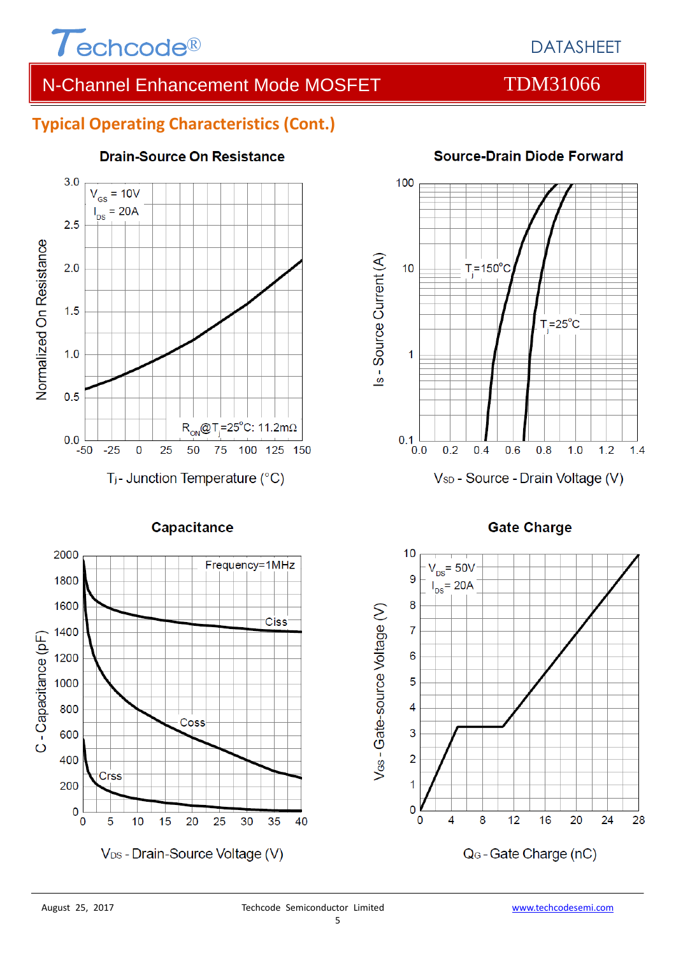

### **Typical Operating Characteristics (Cont.)**



#### **Drain-Source On Resistance**



#### **Source-Drain Diode Forward**

#### **Gate Charge**

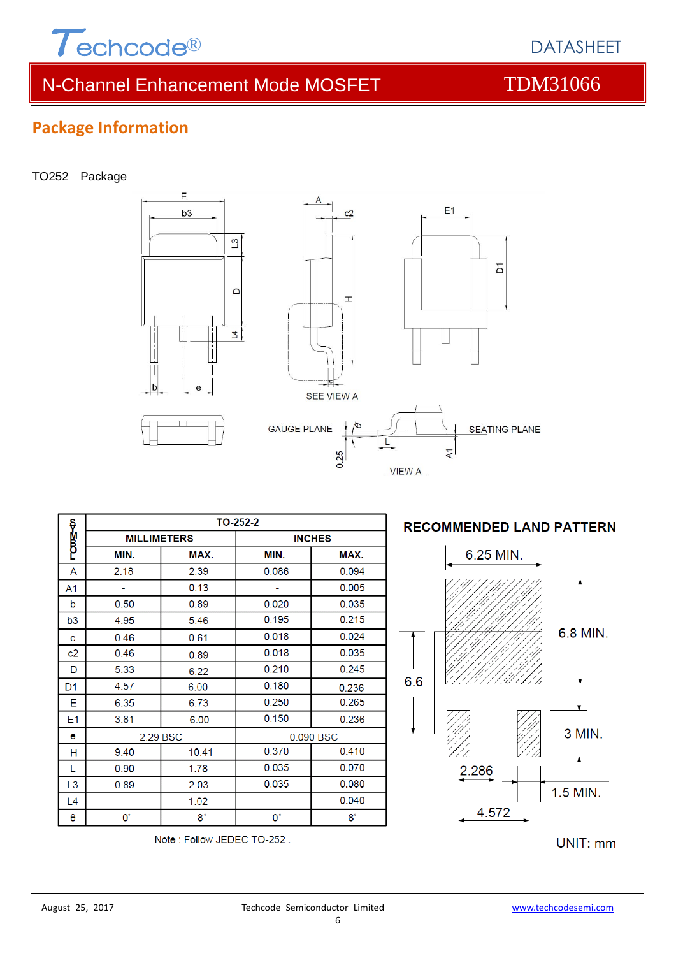

DATASHEET

# **Package Information**

#### TO252 Package



| ş              | TO-252-2           |             |               |           |  |  |
|----------------|--------------------|-------------|---------------|-----------|--|--|
| p<br>B         | <b>MILLIMETERS</b> |             | <b>INCHES</b> |           |  |  |
|                | MIN.               | MAX.        | MIN.          | MAX.      |  |  |
| A              | 2.18               | 2.39        | 0.086         | 0.094     |  |  |
| A1             |                    | 0.13        |               | 0.005     |  |  |
| b              | 0.50               | 0.89        | 0.020         | 0.035     |  |  |
| b3             | 4.95               | 5.46        | 0.195         | 0.215     |  |  |
| c              | 0.46               | 0.61        | 0.018         | 0.024     |  |  |
| c2             | 0.46               | 0.89        | 0.018         | 0.035     |  |  |
| D              | 5.33               | 6.22        | 0.210         | 0.245     |  |  |
| D <sub>1</sub> | 4.57               | 6.00        | 0.180         | 0.236     |  |  |
| E              | 6.35               | 6.73        | 0.250         | 0.265     |  |  |
| E <sub>1</sub> | 3.81               | 6.00        | 0.150         | 0.236     |  |  |
| e              | 2.29 BSC           |             | 0.090 BSC     |           |  |  |
| н              | 9.40               | 10.41       | 0.370         | 0.410     |  |  |
| L              | 0.90               | 1.78        | 0.035         | 0.070     |  |  |
| L <sub>3</sub> | 0.89               | 2.03        | 0.035         | 0.080     |  |  |
| L4             | ۰                  | 1.02        | ۰             | 0.040     |  |  |
| θ              | О°                 | $8^{\circ}$ | $0^{\circ}$   | $8^\circ$ |  |  |

Note: Follow JEDEC TO-252.

#### **RECOMMENDED LAND PATTERN**



UNIT: mm